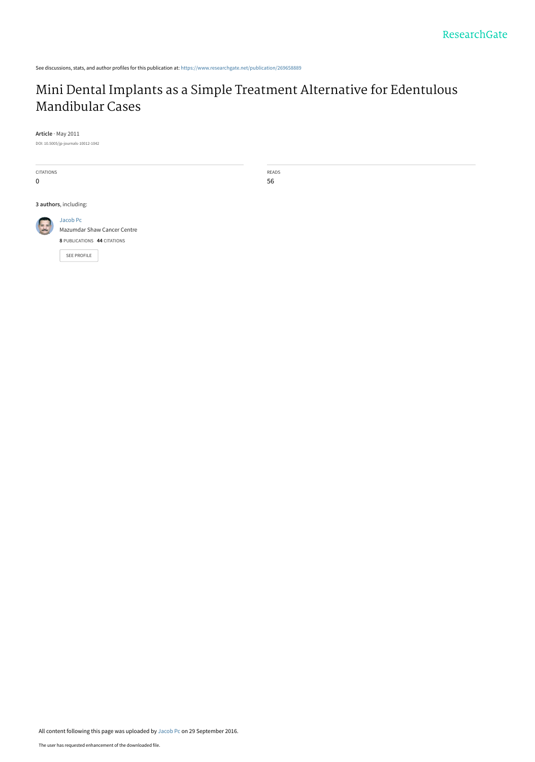See discussions, stats, and author profiles for this publication at: [https://www.researchgate.net/publication/269658889](https://www.researchgate.net/publication/269658889_Mini_Dental_Implants_as_a_Simple_Treatment_Alternative_for_Edentulous_Mandibular_Cases?enrichId=rgreq-1ce77f7066452570921f60dfd43f2207-XXX&enrichSource=Y292ZXJQYWdlOzI2OTY1ODg4OTtBUzo0MTE2MjI1MjgwNDUwNTlAMTQ3NTE0OTg2NjkxMw%3D%3D&el=1_x_2&_esc=publicationCoverPdf)

# [Mini Dental Implants as a Simple Treatment Alternative for Edentulous](https://www.researchgate.net/publication/269658889_Mini_Dental_Implants_as_a_Simple_Treatment_Alternative_for_Edentulous_Mandibular_Cases?enrichId=rgreq-1ce77f7066452570921f60dfd43f2207-XXX&enrichSource=Y292ZXJQYWdlOzI2OTY1ODg4OTtBUzo0MTE2MjI1MjgwNDUwNTlAMTQ3NTE0OTg2NjkxMw%3D%3D&el=1_x_3&_esc=publicationCoverPdf) Mandibular Cases

**Article** · May 2011

DOI: 10.5005/jp-journals-10012-1042

CITATIONS 0 READS 56 **3 authors**, including: [Jacob Pc](https://www.researchgate.net/profile/Jacob_Pc?enrichId=rgreq-1ce77f7066452570921f60dfd43f2207-XXX&enrichSource=Y292ZXJQYWdlOzI2OTY1ODg4OTtBUzo0MTE2MjI1MjgwNDUwNTlAMTQ3NTE0OTg2NjkxMw%3D%3D&el=1_x_5&_esc=publicationCoverPdf) [Mazumdar Shaw Cancer Centre](https://www.researchgate.net/institution/Mazumdar_Shaw_Cancer_Centre?enrichId=rgreq-1ce77f7066452570921f60dfd43f2207-XXX&enrichSource=Y292ZXJQYWdlOzI2OTY1ODg4OTtBUzo0MTE2MjI1MjgwNDUwNTlAMTQ3NTE0OTg2NjkxMw%3D%3D&el=1_x_6&_esc=publicationCoverPdf) **8** PUBLICATIONS **44** CITATIONS [SEE PROFILE](https://www.researchgate.net/profile/Jacob_Pc?enrichId=rgreq-1ce77f7066452570921f60dfd43f2207-XXX&enrichSource=Y292ZXJQYWdlOzI2OTY1ODg4OTtBUzo0MTE2MjI1MjgwNDUwNTlAMTQ3NTE0OTg2NjkxMw%3D%3D&el=1_x_7&_esc=publicationCoverPdf)

All content following this page was uploaded by [Jacob Pc](https://www.researchgate.net/profile/Jacob_Pc?enrichId=rgreq-1ce77f7066452570921f60dfd43f2207-XXX&enrichSource=Y292ZXJQYWdlOzI2OTY1ODg4OTtBUzo0MTE2MjI1MjgwNDUwNTlAMTQ3NTE0OTg2NjkxMw%3D%3D&el=1_x_10&_esc=publicationCoverPdf) on 29 September 2016.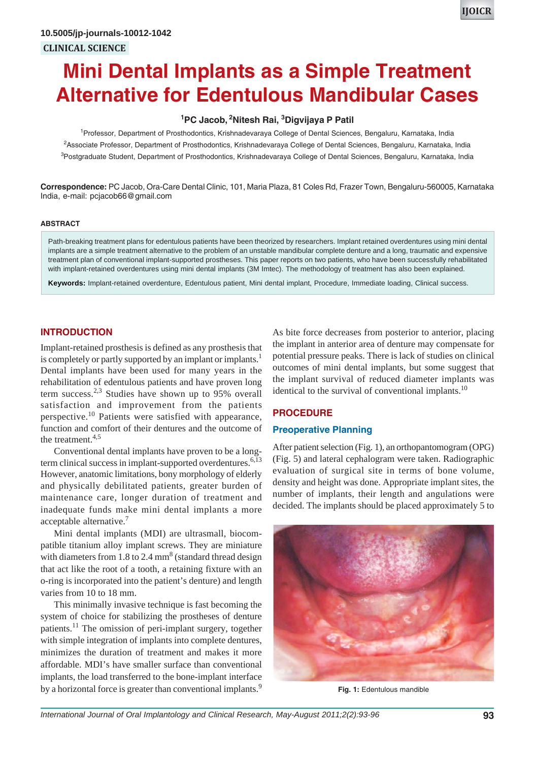# **Mini Dental Implants as a Simple Treatment Alternative for Edentulous Mandibular Cases**

## **1 PC Jacob, 2Nitesh Rai, 3 Digvijaya P Patil**

<sup>1</sup> Professor, Department of Prosthodontics, Krishnadevaraya College of Dental Sciences, Bengaluru, Karnataka, India 2 Associate Professor, Department of Prosthodontics, Krishnadevaraya College of Dental Sciences, Bengaluru, Karnataka, India <sup>3</sup>Postgraduate Student, Department of Prosthodontics, Krishnadevaraya College of Dental Sciences, Bengaluru, Karnataka, India

**Correspondence:** PC Jacob, Ora-Care Dental Clinic, 101, Maria Plaza, 81 Coles Rd, Frazer Town, Bengaluru-560005, Karnataka India, e-mail: pcjacob66@gmail.com

#### **ABSTRACT**

Path-breaking treatment plans for edentulous patients have been theorized by researchers. Implant retained overdentures using mini dental implants are a simple treatment alternative to the problem of an unstable mandibular complete denture and a long, traumatic and expensive treatment plan of conventional implant-supported prostheses. This paper reports on two patients, who have been successfully rehabilitated with implant-retained overdentures using mini dental implants (3M Imtec). The methodology of treatment has also been explained.

**Keywords:** Implant-retained overdenture, Edentulous patient, Mini dental implant, Procedure, Immediate loading, Clinical success.

## **INTRODUCTION**

Implant-retained prosthesis is defined as any prosthesis that is completely or partly supported by an implant or implants.<sup>1</sup> Dental implants have been used for many years in the rehabilitation of edentulous patients and have proven long term success.<sup>2,3</sup> Studies have shown up to 95% overall satisfaction and improvement from the patients perspective.<sup>10</sup> Patients were satisfied with appearance, function and comfort of their dentures and the outcome of the treatment.<sup>4,5</sup>

Conventional dental implants have proven to be a longterm clinical success in implant-supported overdentures. $6,13$ However, anatomic limitations, bony morphology of elderly and physically debilitated patients, greater burden of maintenance care, longer duration of treatment and inadequate funds make mini dental implants a more acceptable alternative.<sup>7</sup>

Mini dental implants (MDI) are ultrasmall, biocompatible titanium alloy implant screws. They are miniature with diameters from  $1.8$  to  $2.4$  mm<sup>8</sup> (standard thread design that act like the root of a tooth, a retaining fixture with an o-ring is incorporated into the patient's denture) and length varies from 10 to 18 mm.

This minimally invasive technique is fast becoming the system of choice for stabilizing the prostheses of denture patients.<sup>11</sup> The omission of peri-implant surgery, together with simple integration of implants into complete dentures, minimizes the duration of treatment and makes it more affordable. MDI's have smaller surface than conventional implants, the load transferred to the bone-implant interface by a horizontal force is greater than conventional implants.<sup>9</sup>

As bite force decreases from posterior to anterior, placing the implant in anterior area of denture may compensate for potential pressure peaks. There is lack of studies on clinical outcomes of mini dental implants, but some suggest that the implant survival of reduced diameter implants was identical to the survival of conventional implants.<sup>10</sup>

#### **PROCEDURE**

#### **Preoperative Planning**

After patient selection (Fig. 1), an orthopantomogram (OPG) (Fig. 5) and lateral cephalogram were taken. Radiographic evaluation of surgical site in terms of bone volume, density and height was done. Appropriate implant sites, the number of implants, their length and angulations were decided. The implants should be placed approximately 5 to



**Fig. 1:** Edentulous mandible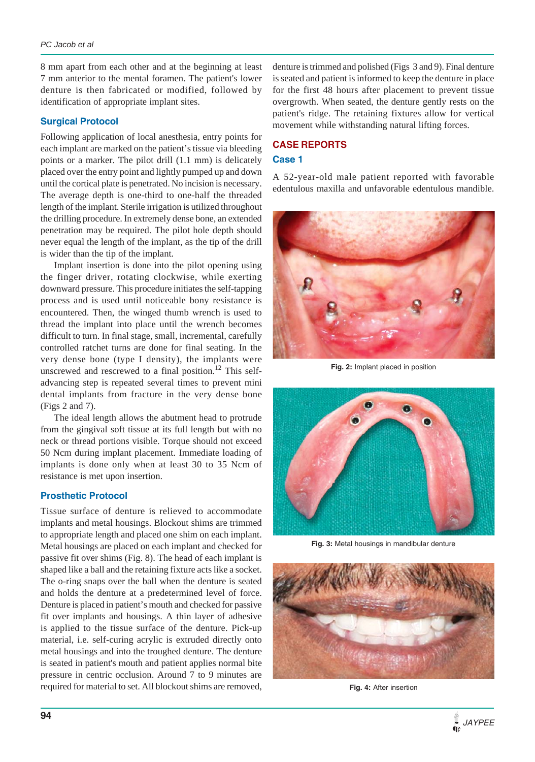8 mm apart from each other and at the beginning at least 7 mm anterior to the mental foramen. The patient's lower denture is then fabricated or modified, followed by identification of appropriate implant sites.

### **Surgical Protocol**

Following application of local anesthesia, entry points for each implant are marked on the patient's tissue via bleeding points or a marker. The pilot drill (1.1 mm) is delicately placed over the entry point and lightly pumped up and down until the cortical plate is penetrated. No incision is necessary. The average depth is one-third to one-half the threaded length of the implant. Sterile irrigation is utilized throughout the drilling procedure. In extremely dense bone, an extended penetration may be required. The pilot hole depth should never equal the length of the implant, as the tip of the drill is wider than the tip of the implant.

Implant insertion is done into the pilot opening using the finger driver, rotating clockwise, while exerting downward pressure. This procedure initiates the self-tapping process and is used until noticeable bony resistance is encountered. Then, the winged thumb wrench is used to thread the implant into place until the wrench becomes difficult to turn. In final stage, small, incremental, carefully controlled ratchet turns are done for final seating. In the very dense bone (type I density), the implants were unscrewed and rescrewed to a final position.<sup>12</sup> This selfadvancing step is repeated several times to prevent mini dental implants from fracture in the very dense bone (Figs 2 and 7).

The ideal length allows the abutment head to protrude from the gingival soft tissue at its full length but with no neck or thread portions visible. Torque should not exceed 50 Ncm during implant placement. Immediate loading of implants is done only when at least 30 to 35 Ncm of resistance is met upon insertion.

#### **Prosthetic Protocol**

Tissue surface of denture is relieved to accommodate implants and metal housings. Blockout shims are trimmed to appropriate length and placed one shim on each implant. Metal housings are placed on each implant and checked for passive fit over shims (Fig. 8). The head of each implant is shaped like a ball and the retaining fixture acts like a socket. The o-ring snaps over the ball when the denture is seated and holds the denture at a predetermined level of force. Denture is placed in patient's mouth and checked for passive fit over implants and housings. A thin layer of adhesive is applied to the tissue surface of the denture. Pick-up material, i.e. self-curing acrylic is extruded directly onto metal housings and into the troughed denture. The denture is seated in patient's mouth and patient applies normal bite pressure in centric occlusion. Around 7 to 9 minutes are required for material to set. All blockout shims are removed, denture is trimmed and polished (Figs 3 and 9). Final denture is seated and patient is informed to keep the denture in place for the first 48 hours after placement to prevent tissue overgrowth. When seated, the denture gently rests on the patient's ridge. The retaining fixtures allow for vertical movement while withstanding natural lifting forces.

# **CASE REPORTS**

### **Case 1**

A 52-year-old male patient reported with favorable edentulous maxilla and unfavorable edentulous mandible.



**Fig. 2:** Implant placed in position



**Fig. 3:** Metal housings in mandibular denture



**Fig. 4:** After insertion

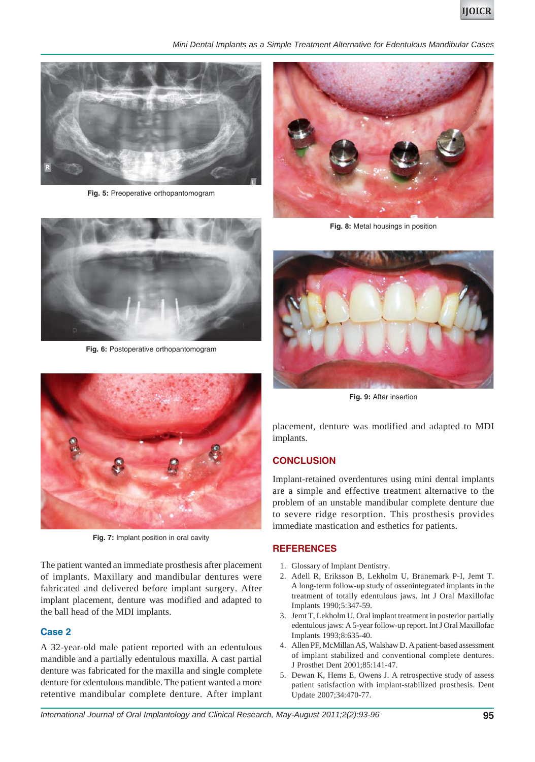

*Mini Dental Implants as a Simple Treatment Alternative for Edentulous Mandibular Cases*



**Fig. 5:** Preoperative orthopantomogram



**Fig. 6:** Postoperative orthopantomogram



**Fig. 7:** Implant position in oral cavity

The patient wanted an immediate prosthesis after placement of implants. Maxillary and mandibular dentures were fabricated and delivered before implant surgery. After implant placement, denture was modified and adapted to the ball head of the MDI implants.

#### **Case 2**

A 32-year-old male patient reported with an edentulous mandible and a partially edentulous maxilla. A cast partial denture was fabricated for the maxilla and single complete denture for edentulous mandible. The patient wanted a more retentive mandibular complete denture. After implant



**Fig. 8:** Metal housings in position



**Fig. 9:** After insertion

placement, denture was modified and adapted to MDI implants.

#### **CONCLUSION**

Implant-retained overdentures using mini dental implants are a simple and effective treatment alternative to the problem of an unstable mandibular complete denture due to severe ridge resorption. This prosthesis provides immediate mastication and esthetics for patients.

#### **REFERENCES**

- 1. Glossary of Implant Dentistry.
- 2. Adell R, Eriksson B, Lekholm U, Branemark P-I, Jemt T. A long-term follow-up study of osseointegrated implants in the treatment of totally edentulous jaws. Int J Oral Maxillofac Implants 1990;5:347-59.
- 3. Jemt T, Lekholm U. Oral implant treatment in posterior partially edentulous jaws: A 5-year follow-up report. Int J Oral Maxillofac Implants 1993;8:635-40.
- 4. Allen PF, McMillan AS, Walshaw D. A patient-based assessment of implant stabilized and conventional complete dentures. J Prosthet Dent 2001;85:141-47.
- 5. Dewan K, Hems E, Owens J. A retrospective study of assess patient satisfaction with implant-stabilized prosthesis. Dent Update 2007;34:470-77.